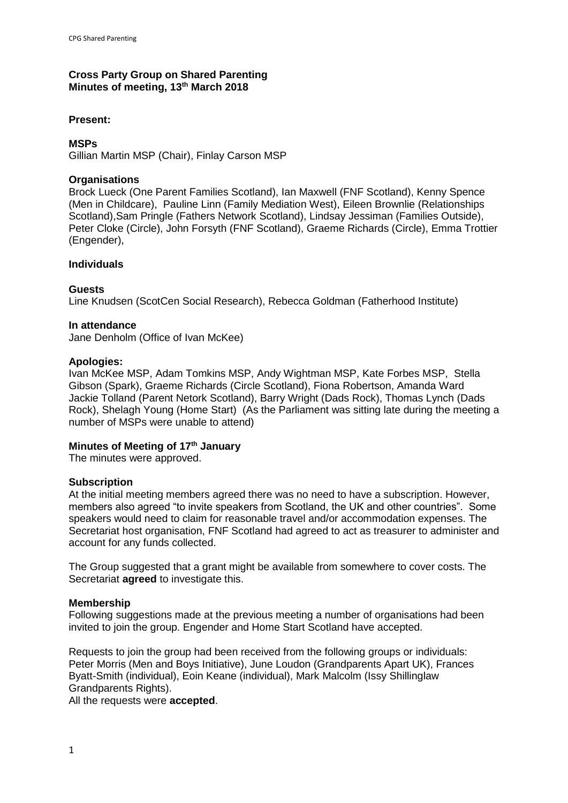# **Cross Party Group on Shared Parenting Minutes of meeting, 13th March 2018**

### **Present:**

### **MSPs**

Gillian Martin MSP (Chair), Finlay Carson MSP

### **Organisations**

Brock Lueck (One Parent Families Scotland), Ian Maxwell (FNF Scotland), Kenny Spence (Men in Childcare), Pauline Linn (Family Mediation West), Eileen Brownlie (Relationships Scotland),Sam Pringle (Fathers Network Scotland), Lindsay Jessiman (Families Outside), Peter Cloke (Circle), John Forsyth (FNF Scotland), Graeme Richards (Circle), Emma Trottier (Engender),

### **Individuals**

#### **Guests**

Line Knudsen (ScotCen Social Research), Rebecca Goldman (Fatherhood Institute)

### **In attendance**

Jane Denholm (Office of Ivan McKee)

### **Apologies:**

Ivan McKee MSP, Adam Tomkins MSP, Andy Wightman MSP, Kate Forbes MSP, Stella Gibson (Spark), Graeme Richards (Circle Scotland), Fiona Robertson, Amanda Ward Jackie Tolland (Parent Netork Scotland), Barry Wright (Dads Rock), Thomas Lynch (Dads Rock), Shelagh Young (Home Start) (As the Parliament was sitting late during the meeting a number of MSPs were unable to attend)

## **Minutes of Meeting of 17th January**

The minutes were approved.

## **Subscription**

At the initial meeting members agreed there was no need to have a subscription. However, members also agreed "to invite speakers from Scotland, the UK and other countries". Some speakers would need to claim for reasonable travel and/or accommodation expenses. The Secretariat host organisation, FNF Scotland had agreed to act as treasurer to administer and account for any funds collected.

The Group suggested that a grant might be available from somewhere to cover costs. The Secretariat **agreed** to investigate this.

## **Membership**

Following suggestions made at the previous meeting a number of organisations had been invited to join the group. Engender and Home Start Scotland have accepted.

Requests to join the group had been received from the following groups or individuals: Peter Morris (Men and Boys Initiative), June Loudon (Grandparents Apart UK), Frances Byatt-Smith (individual), Eoin Keane (individual), Mark Malcolm (Issy Shillinglaw Grandparents Rights).

All the requests were **accepted**.